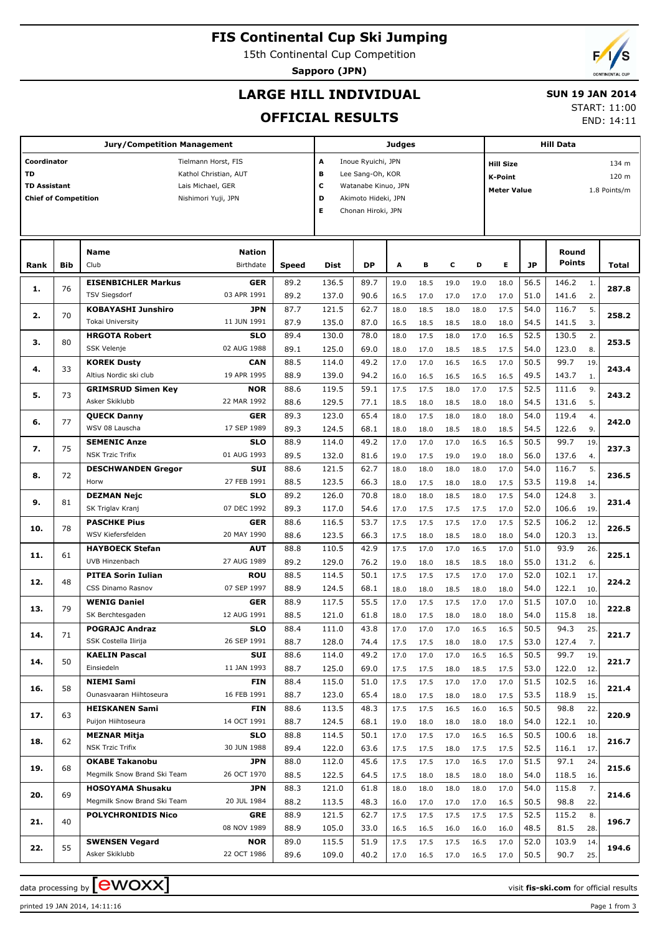# **FIS Continental Cup Ski Jumping**

15th Continental Cup Competition

**Sapporo (JPN)**

END: 14:11

## **LARGE HILL INDIVIDUAL**

### **SUN 19 JAN 2014** START: 11:00

**OFFICIAL RESULTS**

|                             | <b>Jury/Competition Management</b> |                                                |                           |               |                          |                     | <b>Judges</b> |              |              |              |                                    | <b>Hill Data</b> |                   |            |       |  |  |  |  |  |
|-----------------------------|------------------------------------|------------------------------------------------|---------------------------|---------------|--------------------------|---------------------|---------------|--------------|--------------|--------------|------------------------------------|------------------|-------------------|------------|-------|--|--|--|--|--|
| Coordinator                 |                                    |                                                | Tielmann Horst, FIS       |               | A                        | Inoue Ryuichi, JPN  |               |              |              |              | 134 m<br><b>Hill Size</b>          |                  |                   |            |       |  |  |  |  |  |
| TD                          |                                    |                                                | Kathol Christian, AUT     |               | в<br>Lee Sang-Oh, KOR    |                     |               |              |              |              | 120 m<br><b>K-Point</b>            |                  |                   |            |       |  |  |  |  |  |
| <b>TD Assistant</b>         |                                    |                                                | Lais Michael, GER         |               | c<br>Watanabe Kinuo, JPN |                     |               |              |              |              | 1.8 Points/m<br><b>Meter Value</b> |                  |                   |            |       |  |  |  |  |  |
| <b>Chief of Competition</b> |                                    |                                                | Nishimori Yuji, JPN       |               | D                        | Akimoto Hideki, JPN |               |              |              |              |                                    |                  |                   |            |       |  |  |  |  |  |
|                             |                                    |                                                |                           |               | Е                        | Chonan Hiroki, JPN  |               |              |              |              |                                    |                  |                   |            |       |  |  |  |  |  |
|                             |                                    |                                                |                           |               |                          |                     |               |              |              |              |                                    |                  |                   |            |       |  |  |  |  |  |
|                             |                                    | <b>Name</b>                                    | <b>Nation</b>             |               |                          |                     |               |              |              |              |                                    |                  | Round             |            |       |  |  |  |  |  |
| Rank                        | Bib                                | Club                                           | Birthdate                 | Speed         | <b>Dist</b>              | DP                  | A             | в            | с            | D            | Е                                  | JP               | Points            |            | Total |  |  |  |  |  |
|                             |                                    | <b>EISENBICHLER Markus</b>                     | <b>GER</b>                | 89.2          | 136.5                    | 89.7                | 19.0          | 18.5         | 19.0         | 19.0         | 18.0                               | 56.5             | 146.2             | 1.         |       |  |  |  |  |  |
| 1.                          | 76                                 | <b>TSV Siegsdorf</b>                           | 03 APR 1991               | 89.2          | 137.0                    | 90.6                | 16.5          | 17.0         | 17.0         | 17.0         | 17.0                               | 51.0             | 141.6             | 2.         | 287.8 |  |  |  |  |  |
|                             |                                    | <b>KOBAYASHI Junshiro</b>                      | JPN                       | 87.7          | 121.5                    | 62.7                | 18.0          | 18.5         | 18.0         | 18.0         | 17.5                               | 54.0             | 116.7             | 5.         |       |  |  |  |  |  |
| 2.                          | 70                                 | <b>Tokai University</b>                        | 11 JUN 1991               | 87.9          | 135.0                    | 87.0                | 16.5          | 18.5         | 18.5         | 18.0         | 18.0                               | 54.5             | 141.5             | 3.         | 258.2 |  |  |  |  |  |
|                             |                                    | <b>HRGOTA Robert</b>                           | <b>SLO</b>                | 89.4          | 130.0                    | 78.0                | 18.0          | 17.5         | 18.0         | 17.0         | 16.5                               | 52.5             | 130.5             | 2.         |       |  |  |  |  |  |
| з.                          | 80                                 | SSK Velenje                                    | 02 AUG 1988               | 89.1          | 125.0                    | 69.0                | 18.0          | 17.0         | 18.5         | 18.5         | 17.5                               | 54.0             | 123.0             | 8.         | 253.5 |  |  |  |  |  |
|                             |                                    | <b>KOREK Dusty</b>                             | <b>CAN</b>                | 88.5          | 114.0                    | 49.2                | 17.0          | 17.0         | 16.5         | 16.5         | 17.0                               | 50.5             | 99.7              | 19.        |       |  |  |  |  |  |
| 4.                          | 33                                 | Altius Nordic ski club                         | 19 APR 1995               | 88.9          | 139.0                    | 94.2                | 16.0          | 16.5         | 16.5         | 16.5         | 16.5                               | 49.5             | 143.7             | 1.         | 243.4 |  |  |  |  |  |
| 5.                          | 73                                 | <b>GRIMSRUD Simen Key</b>                      | <b>NOR</b>                | 88.6          | 119.5                    | 59.1                | 17.5          | 17.5         | 18.0         | 17.0         | 17.5                               | 52.5             | 111.6             | 9.         | 243.2 |  |  |  |  |  |
|                             |                                    | Asker Skiklubb                                 | 22 MAR 1992               | 88.6          | 129.5                    | 77.1                | 18.5          | 18.0         | 18.5         | 18.0         | 18.0                               | 54.5             | 131.6             | 5.         |       |  |  |  |  |  |
| 6.                          | 77                                 | <b>QUECK Danny</b>                             | <b>GER</b>                | 89.3          | 123.0                    | 65.4                | 18.0          | 17.5         | 18.0         | 18.0         | 18.0                               | 54.0             | 119.4             | 4.         | 242.0 |  |  |  |  |  |
|                             |                                    | WSV 08 Lauscha                                 | 17 SEP 1989               | 89.3          | 124.5                    | 68.1                | 18.0          | 18.0         | 18.5         | 18.0         | 18.5                               | 54.5             | 122.6             | 9.         |       |  |  |  |  |  |
| 7.                          | 75                                 | <b>SEMENIC Anze</b>                            | <b>SLO</b>                | 88.9          | 114.0                    | 49.2                | 17.0          | 17.0         | 17.0         | 16.5         | 16.5                               | 50.5             | 99.7              | 19.        | 237.3 |  |  |  |  |  |
| 8.                          |                                    | <b>NSK Trzic Trifix</b>                        | 01 AUG 1993               | 89.5          | 132.0                    | 81.6                | 19.0          | 17.5         | 19.0         | 19.0         | 18.0                               | 56.0             | 137.6             | 4.         |       |  |  |  |  |  |
|                             | 72                                 | <b>DESCHWANDEN Gregor</b>                      | SUI                       | 88.6          | 121.5                    | 62.7                | 18.0          | 18.0         | 18.0         | 18.0         | 17.0                               | 54.0             | 116.7             | 5.         | 236.5 |  |  |  |  |  |
|                             |                                    | Horw                                           | 27 FEB 1991               | 88.5          | 123.5                    | 66.3                | 18.0          | 17.5         | 18.0         | 18.0         | 17.5                               | 53.5             | 119.8             | 14.        |       |  |  |  |  |  |
| 9.                          | 81                                 | <b>DEZMAN Nejc</b><br>SK Triglav Kranj         | <b>SLO</b><br>07 DEC 1992 | 89.2          | 126.0                    | 70.8                | 18.0          | 18.0         | 18.5         | 18.0         | 17.5                               | 54.0             | 124.8             | 3.         | 231.4 |  |  |  |  |  |
|                             |                                    | <b>PASCHKE Pius</b>                            | <b>GER</b>                | 89.3<br>88.6  | 117.0<br>116.5           | 54.6<br>53.7        | 17.0          | 17.5         | 17.5         | 17.5         | 17.0                               | 52.0<br>52.5     | 106.6<br>106.2    | 19.        |       |  |  |  |  |  |
| 10.                         | 78                                 | WSV Kiefersfelden                              | 20 MAY 1990               | 88.6          | 123.5                    | 66.3                | 17.5<br>17.5  | 17.5<br>18.0 | 17.5<br>18.5 | 17.0<br>18.0 | 17.5<br>18.0                       | 54.0             | 120.3             | 12.<br>13. | 226.5 |  |  |  |  |  |
|                             |                                    | <b>HAYBOECK Stefan</b>                         | <b>AUT</b>                | 88.8          | 110.5                    | 42.9                | 17.5          | 17.0         | 17.0         | 16.5         | 17.0                               | 51.0             | 93.9              | 26.        |       |  |  |  |  |  |
| 11.                         | 61                                 | UVB Hinzenbach                                 | 27 AUG 1989               | 89.2          | 129.0                    | 76.2                | 19.0          | 18.0         | 18.5         | 18.5         | 18.0                               | 55.0             | 131.2             | 6.         | 225.1 |  |  |  |  |  |
|                             |                                    | <b>PITEA Sorin Iulian</b>                      | ROU                       | 88.5          | 114.5                    | 50.1                | 17.5          | 17.5         | 17.5         | 17.0         | 17.0                               | 52.0             | 102.1             | 17.        |       |  |  |  |  |  |
| 12.                         | 48                                 | CSS Dinamo Rasnov                              | 07 SEP 1997               | 88.9          | 124.5                    | 68.1                | 18.0          | 18.0         | 18.5         | 18.0         | 18.0                               | 54.0             | 122.1             | 10.        | 224.2 |  |  |  |  |  |
|                             |                                    | <b>WENIG Daniel</b>                            | <b>GER</b>                | 88.9          | 117.5                    | 55.5                | 17.0          | 17.5         | 17.5         | 17.0         | 17.0                               | 51.5             | 107.0             | 10.        |       |  |  |  |  |  |
| 13.                         | 79                                 | SK Berchtesgaden                               | 12 AUG 1991               | 88.5          | 121.0                    | 61.8                | 18.0          | 17.5         | 18.0         | 18.0         | 18.0                               | 54.0             | 115.8             | 18.        | 222.8 |  |  |  |  |  |
|                             | 71                                 | <b>POGRAJC Andraz</b>                          | SLO                       | 88.4          | 111.0                    | 43.8                | 17.0          | 17.0         | 17.0         | 16.5         | 16.5                               | 50.5             | 94.3              | 25.        | 221.7 |  |  |  |  |  |
| 14.                         |                                    | SSK Costella Ilirija                           | 26 SEP 1991               | 88.7          | 128.0                    | 74.4                | 17.5          | 17.5         | 18.0         | 18.0         | 17.5                               | 53.0             | 127.4             | 7.         |       |  |  |  |  |  |
| 14.                         | 50                                 | <b>KAELIN Pascal</b>                           | SUI                       | 88.6          | 114.0                    | 49.2                | 17.0          | 17.0         | 17.0         | 16.5         | 16.5                               | 50.5             | 99.7              | 19.        | 221.7 |  |  |  |  |  |
|                             |                                    | Einsiedeln                                     | 11 JAN 1993               | 88.7          | 125.0                    | 69.0                | 17.5          | 17.5         | 18.0         | 18.5         | 17.5                               | 53.0             | 122.0             | 12.        |       |  |  |  |  |  |
| 16.                         | 58                                 | NIEMI Sami                                     | FIN                       | 88.4          | 115.0                    | 51.0                | 17.5          | 17.5         | 17.0         | 17.0         | 17.0                               | 51.5             | 102.5             | 16.        | 221.4 |  |  |  |  |  |
|                             |                                    | Ounasvaaran Hiihtoseura                        | 16 FEB 1991               | 88.7          | 123.0                    | 65.4                | 18.0          | 17.5         | 18.0         | 18.0         | 17.5                               | 53.5             | 118.9             | 15.        |       |  |  |  |  |  |
| 17.                         | 63                                 | <b>HEISKANEN Sami</b>                          | FIN                       | 88.6          | 113.5                    | 48.3                | 17.5          | 17.5         | 16.5         | 16.0         | 16.5                               | 50.5             | 98.8              | 22.        | 220.9 |  |  |  |  |  |
|                             |                                    | Puijon Hiihtoseura                             | 14 OCT 1991               | 88.7          | 124.5                    | 68.1                | 19.0          | 18.0         | 18.0         | 18.0         | 18.0                               | 54.0             | 122.1             | 10.        |       |  |  |  |  |  |
| 18.                         | 62                                 | <b>MEZNAR Mitja</b><br><b>NSK Trzic Trifix</b> | SLO<br>30 JUN 1988        | 88.8<br>89.4  | 114.5                    | 50.1                | 17.0          | 17.5         | 17.0         | 16.5         | 16.5                               | 50.5             | 100.6             | 18.        | 216.7 |  |  |  |  |  |
|                             |                                    | <b>OKABE Takanobu</b>                          | JPN                       | 88.0          | 122.0<br>112.0           | 63.6<br>45.6        | 17.5          | 17.5<br>17.5 | 18.0<br>17.0 | 17.5<br>16.5 | 17.5<br>17.0                       | 52.5<br>51.5     | 116.1 17.<br>97.1 | 24.        |       |  |  |  |  |  |
| 19.                         | 68                                 | Megmilk Snow Brand Ski Team                    | 26 OCT 1970               | 88.5          | 122.5                    | 64.5                | 17.5<br>17.5  | 18.0         | 18.5         | 18.0         | 18.0                               | 54.0             | 118.5 16.         |            | 215.6 |  |  |  |  |  |
|                             |                                    | <b>HOSOYAMA Shusaku</b>                        | JPN                       | 88.3          | 121.0                    | 61.8                | 18.0          | 18.0         | 18.0         | 18.0         | 17.0                               | 54.0             | 115.8             | 7.         |       |  |  |  |  |  |
| 20.                         | 69                                 | Megmilk Snow Brand Ski Team                    | 20 JUL 1984               | 88.2<br>113.5 |                          | 48.3                | 16.0          | 17.0         | 17.0         | 17.0         | 16.5                               | 50.5             | 98.8              | 22.        | 214.6 |  |  |  |  |  |
|                             |                                    | <b>POLYCHRONIDIS Nico</b>                      | <b>GRE</b>                | 88.9          | 121.5                    | 62.7                | 17.5          | 17.5         | 17.5         | 17.5         | 17.5                               | 52.5             | 115.2             | 8.         |       |  |  |  |  |  |
| 21.                         | 40                                 |                                                | 08 NOV 1989               | 88.9          | 105.0                    | 33.0                | 16.5          | 16.5         | 16.0         | 16.0         | 16.0                               | 48.5             | 81.5              | 28.        | 196.7 |  |  |  |  |  |
|                             |                                    | <b>SWENSEN Vegard</b>                          | NOR                       | 89.0          | 115.5                    | 51.9                | 17.5          | 17.5         | 17.5         | 16.5         | 17.0                               | 52.0             | 103.9             | 14.        |       |  |  |  |  |  |
| 22.                         | 55                                 | Asker Skiklubb                                 | 22 OCT 1986               | 89.6          | 109.0                    | 40.2                | 17.0          | 16.5         | 17.0         | 16.5         | 17.0                               | 50.5             | 90.7              | 25.        | 194.6 |  |  |  |  |  |

printed 19 JAN 2014, 14:11:16 Page 1 from 3

data processing by **CWOXX** and  $\overline{C}$  and  $\overline{C}$  and  $\overline{C}$  and  $\overline{C}$  and  $\overline{C}$  and  $\overline{C}$  and  $\overline{C}$  and  $\overline{C}$  and  $\overline{C}$  and  $\overline{C}$  and  $\overline{C}$  and  $\overline{C}$  and  $\overline{C}$  and  $\overline{C}$  and  $\overline{C}$ 

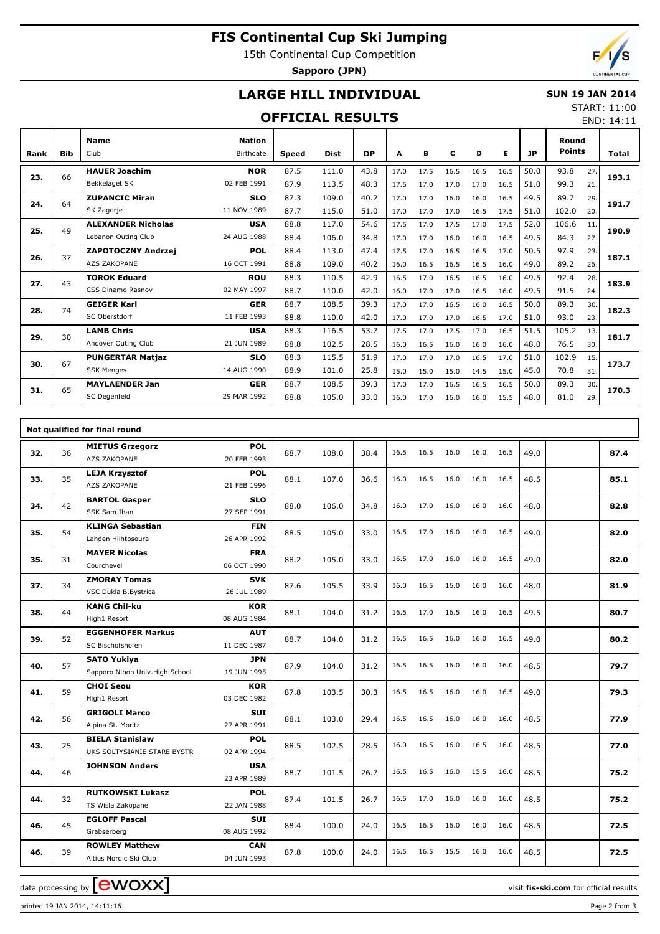# **FIS Continental Cup Ski Jumping**

15th Continental Cup Competition

**Sapporo (JPN)**

# **LARGE HILL INDIVIDUAL**

### **SUN 19 JAN 2014** START: 11:00

## **OFFICIAL RESULTS**

END: 14:11

| Rank | <b>Bib</b> | <b>Name</b><br>Club       | <b>Nation</b><br>Birthdate | <b>Speed</b> | <b>Dist</b> | <b>DP</b> | A    | в    | c    | D    | Е    | <b>JP</b> | Round<br><b>Points</b> |     | Total |  |
|------|------------|---------------------------|----------------------------|--------------|-------------|-----------|------|------|------|------|------|-----------|------------------------|-----|-------|--|
|      |            | <b>HAUER Joachim</b>      | <b>NOR</b>                 | 87.5         | 111.0       | 43.8      | 17.0 | 17.5 | 16.5 | 16.5 | 16.5 | 50.0      | 93.8                   | 27. |       |  |
| 23.  | 66         | Bekkelaget SK             | 02 FEB 1991                | 87.9         | 113.5       | 48.3      | 17.5 | 17.0 | 17.0 | 17.0 | 16.5 | 51.0      | 99.3                   | 21. | 193.1 |  |
|      | 64         | <b>ZUPANCIC Miran</b>     | <b>SLO</b>                 | 87.3         | 109.0       | 40.2      | 17.0 | 17.0 | 16.0 | 16.0 | 16.5 | 49.5      | 89.7                   | 29. | 191.7 |  |
| 24.  |            | SK Zagorje                | 11 NOV 1989                | 87.7         | 115.0       | 51.0      | 17.0 | 17.0 | 17.0 | 16.5 | 17.5 | 51.0      | 102.0                  | 20. |       |  |
| 25.  | 49         | <b>ALEXANDER Nicholas</b> | <b>USA</b>                 | 88.8         | 117.0       | 54.6      | 17.5 | 17.0 | 17.5 | 17.0 | 17.5 | 52.0      | 106.6                  | 11. | 190.9 |  |
|      |            | Lebanon Outing Club       | 24 AUG 1988                | 88.4         | 106.0       | 34.8      | 17.0 | 17.0 | 16.0 | 16.0 | 16.5 | 49.5      | 84.3                   | 27. |       |  |
| 26.  | 37         | <b>ZAPOTOCZNY Andrzej</b> | <b>POL</b>                 | 88.4         | 113.0       | 47.4      | 17.5 | 17.0 | 16.5 | 16.5 | 17.0 | 50.5      | 97.9                   | 23. | 187.1 |  |
|      |            | <b>AZS ZAKOPANE</b>       | 16 OCT 1991                | 88.8         | 109.0       | 40.2      | 16.0 | 16.5 | 16.5 | 16.5 | 16.0 | 49.0      | 89.2                   | 26. |       |  |
| 27.  | 43         | <b>TOROK Eduard</b>       | <b>ROU</b>                 | 88.3         | 110.5       | 42.9      | 16.5 | 17.0 | 16.5 | 16.5 | 16.0 | 49.5      | 92.4                   | 28. | 183.9 |  |
|      |            | CSS Dinamo Rasnov         | 02 MAY 1997                | 88.7         | 110.0       | 42.0      | 16.0 | 17.0 | 17.0 | 16.5 | 16.0 | 49.5      | 91.5                   | 24. |       |  |
| 28.  | 74         | <b>GEIGER Karl</b>        | <b>GER</b>                 | 88.7         | 108.5       | 39.3      | 17.0 | 17.0 | 16.5 | 16.0 | 16.5 | 50.0      | 89.3                   | 30. | 182.3 |  |
|      |            | SC Oberstdorf             | 11 FEB 1993                | 88.8         | 110.0       | 42.0      | 17.0 | 17.0 | 17.0 | 16.5 | 17.0 | 51.0      | 93.0                   | 23. |       |  |
| 29.  | 30         | <b>LAMB Chris</b>         | <b>USA</b>                 | 88.3         | 116.5       | 53.7      | 17.5 | 17.0 | 17.5 | 17.0 | 16.5 | 51.5      | 105.2                  | 13. | 181.7 |  |
|      |            | Andover Outing Club       | 21 JUN 1989                | 88.8         | 102.5       | 28.5      | 16.0 | 16.5 | 16.0 | 16.0 | 16.0 | 48.0      | 76.5                   | 30. |       |  |
| 30.  | 67         | <b>PUNGERTAR Matiaz</b>   | <b>SLO</b>                 | 88.3         | 115.5       | 51.9      | 17.0 | 17.0 | 17.0 | 16.5 | 17.0 | 51.0      | 102.9                  | 15. | 173.7 |  |
|      |            | <b>SSK Menges</b>         | 14 AUG 1990                | 88.9         | 101.0       | 25.8      | 15.0 | 15.0 | 15.0 | 14.5 | 15.0 | 45.0      | 70.8                   | 31. |       |  |
| 31.  | 65         | <b>MAYLAENDER Jan</b>     | <b>GER</b>                 | 88.7         | 108.5       | 39.3      | 17.0 | 17.0 | 16.5 | 16.5 | 16.5 | 50.0      | 89.3                   | 30. | 170.3 |  |
|      |            | SC Degenfeld              | 29 MAR 1992                | 88.8         | 105.0       | 33.0      | 16.0 | 17.0 | 16.0 | 16.0 | 15.5 | 48.0      | 81.0                   | 29. |       |  |

|     | Not qualified for final round |                                               |                           |               |       |      |      |      |      |      |      |      |      |      |
|-----|-------------------------------|-----------------------------------------------|---------------------------|---------------|-------|------|------|------|------|------|------|------|------|------|
| 32. | 36                            | <b>MIETUS Grzegorz</b><br><b>AZS ZAKOPANE</b> | <b>POL</b><br>20 FEB 1993 | 88.7          | 108.0 | 38.4 | 16.5 | 16.5 | 16.0 | 16.0 | 16.5 | 49.0 |      | 87.4 |
|     |                               | <b>LEJA Krzysztof</b>                         | <b>POL</b>                |               |       |      |      |      |      |      |      |      |      |      |
| 33. | 35                            | <b>AZS ZAKOPANE</b>                           | 21 FEB 1996               | 88.1          | 107.0 | 36.6 | 16.0 | 16.5 | 16.0 | 16.0 | 16.5 | 48.5 |      | 85.1 |
|     |                               | <b>BARTOL Gasper</b>                          | <b>SLO</b>                |               |       |      |      |      |      | 16.0 |      |      |      |      |
| 34. | 42                            | SSK Sam Ihan                                  | 27 SEP 1991               | 88.0          | 106.0 | 34.8 | 16.0 | 17.0 | 16.0 |      | 16.0 | 48.0 |      | 82.8 |
| 35. | 54                            | <b>KLINGA Sebastian</b>                       | <b>FIN</b>                | 88.5<br>105.0 | 33.0  | 16.5 | 17.0 | 16.0 | 16.0 | 16.5 | 49.0 |      | 82.0 |      |
|     |                               | Lahden Hiihtoseura                            | 26 APR 1992               |               |       |      |      |      |      |      |      |      |      |      |
| 35. | 31                            | <b>MAYER Nicolas</b>                          | <b>FRA</b>                | 88.2          | 105.0 | 33.0 | 16.5 | 17.0 | 16.0 | 16.0 | 16.5 | 49.0 |      | 82.0 |
|     |                               | Courchevel                                    | 06 OCT 1990               |               |       |      |      |      |      |      |      |      |      |      |
| 37. | 34                            | <b>ZMORAY Tomas</b>                           | <b>SVK</b>                | 87.6          | 105.5 | 33.9 | 16.0 | 16.5 | 16.0 | 16.0 | 16.0 | 48.0 |      | 81.9 |
|     |                               | VSC Dukla B.Bystrica                          | 26 JUL 1989               |               |       |      |      |      |      |      |      |      |      |      |
| 38. | 44                            | <b>KANG Chil-ku</b>                           | <b>KOR</b>                | 88.1          | 104.0 | 31.2 | 16.5 | 17.0 | 16.5 | 16.0 | 16.5 | 49.5 |      | 80.7 |
|     |                               | High1 Resort                                  | 08 AUG 1984               |               |       |      |      |      |      |      |      |      |      |      |
| 39. | 52                            | <b>EGGENHOFER Markus</b>                      | <b>AUT</b>                | 88.7          | 104.0 | 31.2 | 16.5 | 16.5 | 16.0 | 16.0 | 16.5 | 49.0 |      | 80.2 |
|     |                               | SC Bischofshofen                              | 11 DEC 1987               |               |       |      |      |      |      |      |      |      |      |      |
| 40. | 57                            | <b>SATO Yukiya</b>                            | <b>JPN</b>                | 87.9          | 104.0 | 31.2 | 16.5 | 16.5 | 16.0 | 16.0 | 16.0 | 48.5 |      | 79.7 |
|     |                               | Sapporo Nihon Univ. High School               | 19 JUN 1995               |               |       |      |      |      |      |      |      |      |      |      |
| 41. | 59                            | <b>CHOI Seou</b>                              | <b>KOR</b>                | 87.8          | 103.5 | 30.3 | 16.5 | 16.5 | 16.0 | 16.0 | 16.5 | 49.0 |      | 79.3 |
|     |                               | High1 Resort                                  | 03 DEC 1982               |               |       |      |      |      |      |      |      |      |      |      |
| 42. | 56                            | <b>GRIGOLI Marco</b>                          | <b>SUI</b>                | 88.1          | 103.0 | 29.4 | 16.5 | 16.5 | 16.0 | 16.0 | 16.0 | 48.5 |      | 77.9 |
|     |                               | Alpina St. Moritz                             | 27 APR 1991               |               |       |      |      |      |      |      |      |      |      |      |
| 43. | 25                            | <b>BIELA Stanislaw</b>                        | <b>POL</b>                | 88.5          | 102.5 | 28.5 | 16.0 | 16.5 | 16.0 | 16.5 | 16.0 | 48.5 |      | 77.0 |
|     |                               | UKS SOLTYSIANIE STARE BYSTR                   | 02 APR 1994               |               |       |      |      |      |      |      |      |      |      |      |
| 44. | 46                            | <b>JOHNSON Anders</b>                         | <b>USA</b>                | 88.7          | 101.5 | 26.7 | 16.5 | 16.5 | 16.0 | 15.5 | 16.0 | 48.5 |      | 75.2 |
|     |                               |                                               | 23 APR 1989               |               |       |      |      |      |      |      |      |      |      |      |
| 44. | 32                            | <b>RUTKOWSKI Lukasz</b>                       | <b>POL</b>                | 87.4          | 101.5 | 26.7 | 16.5 | 17.0 | 16.0 | 16.0 | 16.0 | 48.5 |      | 75.2 |
|     |                               | TS Wisla Zakopane                             | 22 JAN 1988               |               |       |      |      |      |      |      |      |      |      |      |
| 46. | 45                            | <b>EGLOFF Pascal</b>                          | <b>SUI</b>                | 88.4          | 100.0 | 24.0 | 16.5 | 16.5 | 16.0 | 16.0 | 16.0 | 48.5 |      | 72.5 |
|     |                               | Grabserberg                                   | 08 AUG 1992               |               |       |      |      |      |      |      |      |      |      |      |
| 46. | 39                            | <b>ROWLEY Matthew</b>                         | <b>CAN</b>                | 87.8          | 100.0 | 24.0 | 16.5 | 16.5 | 15.5 | 16.0 | 16.0 | 48.5 |      | 72.5 |
|     |                               | Altius Nordic Ski Club                        | 04 JUN 1993               |               |       |      |      |      |      |      |      |      |      |      |

data processing by **CWOXX**  $\blacksquare$